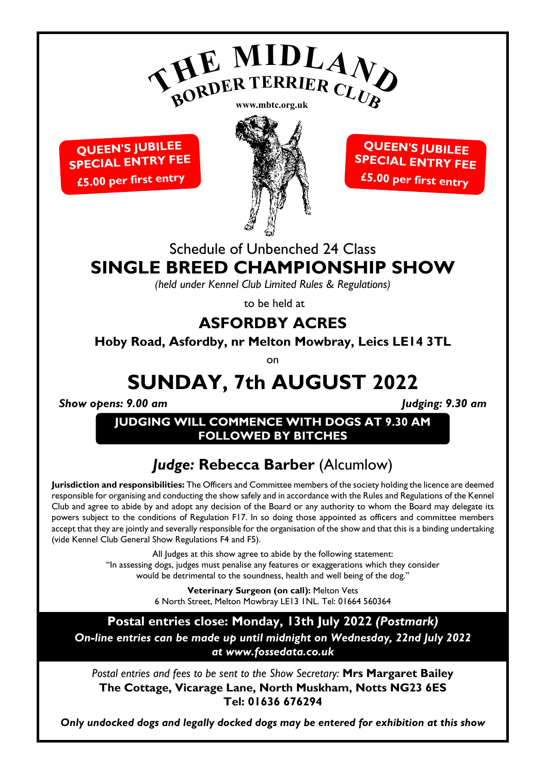

**QUEEN'S JUBILEE SPECIAL ENTRY FEE £5.00 per first entry**



**QUEEN'S JUBILEE SPECIAL ENTRY FEE £5.00 per first entry**

## Schedule of Unbenched 24 Class **SINGLE BREED CHAMPIONSHIP SHOW**

*(held under Kennel Club Limited Rules & Regulations)*

to be held at

## **ASFORDBY ACRES**

**Hoby Road, Asfordby, nr Melton Mowbray, Leics LE14 3TL**

on

# **SUNDAY, 7th AUGUST 2022**

*Show opens: 9.00 am Judging: 9.30 am*

**JUDGING WILL COMMENCE WITH DOGS AT 9.30 AM FOLLOWED BY BITCHES**

# *Judge:* **Rebecca Barber** (Alcumlow)

**Jurisdiction and responsibilities:** The Officers and Committee members of the society holding the licence are deemed responsible for organising and conducting the show safely and in accordance with the Rules and Regulations of the Kennel Club and agree to abide by and adopt any decision of the Board or any authority to whom the Board may delegate its powers subject to the conditions of Regulation F17. In so doing those appointed as officers and committee members accept that they are jointly and severally responsible for the organisation of the show and that this is a binding undertaking (vide Kennel Club General Show Regulations F4 and F5).

> All Judges at this show agree to abide by the following statement: "In assessing dogs, judges must penalise any features or exaggerations which they consider would be detrimental to the soundness, health and well being of the dog."

> > **Veterinary Surgeon (on call):** Melton Vets 6 North Street, Melton Mowbray LE13 1NL. Tel: 01664 560364

**Postal entries close: Monday, 13th July 2022** *(Postmark) On-line entries can be made up until midnight on Wednesday, 22nd July 2022 at www.fossedata.co.uk*

*Postal entries and fees to be sent to the Show Secretary:* **Mrs Margaret Bailey The Cottage, Vicarage Lane, North Muskham, Notts NG23 6ES Tel: 01636 676294**

*Only undocked dogs and legally docked dogs may be entered for exhibition at this show*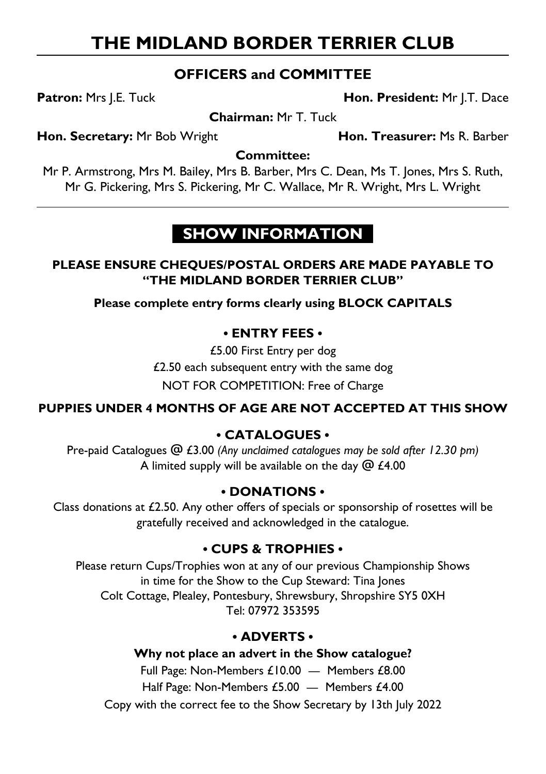# **THE MIDLAND BORDER TERRIER CLUB**

### **OFFICERS and COMMITTEE**

**Patron:** Mrs J.E. Tuck **Hon. President:** Mr J.T. Dace

**Chairman:** Mr T. Tuck

**Hon. Secretary:** Mr Bob Wright **Hon. Treasurer:** Ms R. Barber

### **Committee:**

Mr P. Armstrong, Mrs M. Bailey, Mrs B. Barber, Mrs C. Dean, Ms T. Jones, Mrs S. Ruth, Mr G. Pickering, Mrs S. Pickering, Mr C. Wallace, Mr R. Wright, Mrs L. Wright

# **SHOW INFORMATION**

### **PLEASE ENSURE CHEQUES/POSTAL ORDERS ARE MADE PAYABLE TO "THE MIDLAND BORDER TERRIER CLUB"**

**Please complete entry forms clearly using BLOCK CAPITALS**

### **• ENTRY FEES •**

£5.00 First Entry per dog £2.50 each subsequent entry with the same dog NOT FOR COMPETITION: Free of Charge

### **PUPPIES UNDER 4 MONTHS OF AGE ARE NOT ACCEPTED AT THIS SHOW**

### **• CATALOGUES •**

Pre-paid Catalogues @ £3.00 *(Any unclaimed catalogues may be sold after 12.30 pm)* A limited supply will be available on the day  $@f4.00$ 

### **• DONATIONS •**

Class donations at £2.50. Any other offers of specials or sponsorship of rosettes will be gratefully received and acknowledged in the catalogue.

### **• CUPS & TROPHIES •**

Please return Cups/Trophies won at any of our previous Championship Shows in time for the Show to the Cup Steward: Tina Jones Colt Cottage, Plealey, Pontesbury, Shrewsbury, Shropshire SY5 0XH Tel: 07972 353595

### **• ADVERTS •**

**Why not place an advert in the Show catalogue?** Full Page: Non-Members £10.00 — Members £8.00 Half Page: Non-Members £5.00 - Members £4.00 Copy with the correct fee to the Show Secretary by 13th July 2022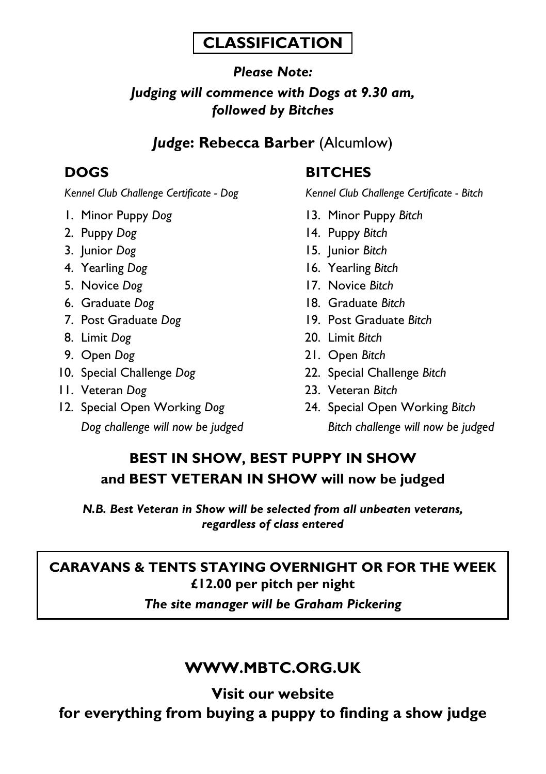## **CLASSIFICATION**

## *Please Note: Judging will commence with Dogs at 9.30 am, followed by Bitches*

## *Judge***: Rebecca Barber** (Alcumlow)

- 
- 
- 
- 
- 
- 
- 
- 
- 
- 
- 
- 

## **DOGS BITCHES**

*Kennel Club Challenge Certificate - Dog Kennel Club Challenge Certificate - Bitch*

- 1. Minor Puppy *Dog* 13. Minor Puppy *Bitch*
- 2. Puppy *Dog* 14. Puppy *Bitch*
- 3. Junior *Dog* 15. Junior *Bitch*
- 4. Yearling *Dog* 16. Yearling *Bitch*
- 5. Novice *Dog* 17. Novice *Bitch*
- 6. Graduate *Dog* 18. Graduate *Bitch*
- 7. Post Graduate *Dog* 19. Post Graduate *Bitch*
- 8. Limit *Dog* 20. Limit *Bitch*
- 9. Open *Dog* 21. Open *Bitch*
- 10. Special Challenge *Dog* 22. Special Challenge *Bitch*
- 11. Veteran *Dog* 23. Veteran *Bitch*
- 12. Special Open Working *Dog* 24. Special Open Working *Bitch Dog challenge will now be judged Bitch challenge will now be judged*

## **BEST IN SHOW, BEST PUPPY IN SHOW and BEST VETERAN IN SHOW will now be judged**

*N.B. Best Veteran in Show will be selected from all unbeaten veterans, regardless of class entered*

# **CARAVANS & TENTS STAYING OVERNIGHT OR FOR THE WEEK £12.00 per pitch per night**

*The site manager will be Graham Pickering*

## **WWW.MBTC.ORG.UK**

**Visit our website for everything from buying a puppy to finding a show judge**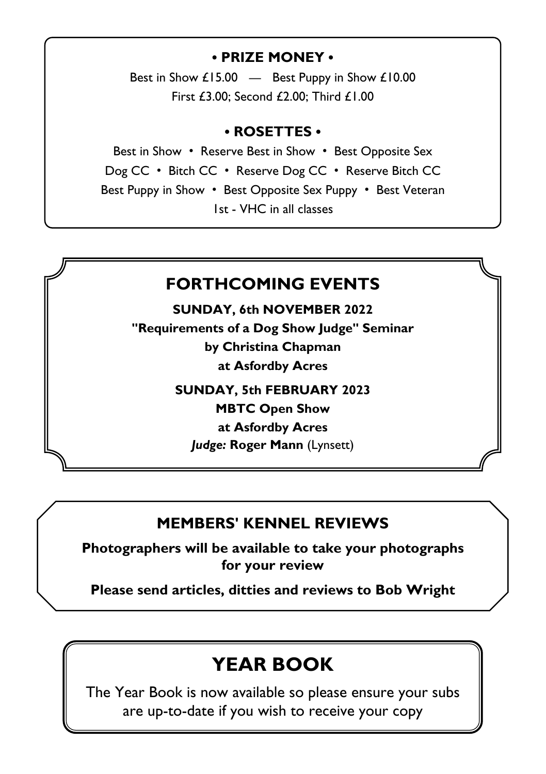### **• PRIZE MONEY •**

Best in Show £15.00 — Best Puppy in Show £10.00 First £3.00; Second £2.00; Third £1.00

### **• ROSETTES •**

Best in Show • Reserve Best in Show • Best Opposite Sex Dog CC • Bitch CC • Reserve Dog CC • Reserve Bitch CC Best Puppy in Show • Best Opposite Sex Puppy • Best Veteran 1st - VHC in all classes

## **FORTHCOMING EVENTS**

**SUNDAY, 6th NOVEMBER 2022**

**"Requirements of a Dog Show Judge" Seminar by Christina Chapman at Asfordby Acres**

**SUNDAY, 5th FEBRUARY 2023**

**MBTC Open Show**

**at Asfordby Acres** 

*Judge:* **Roger Mann** (Lynsett)

## **MEMBERS' KENNEL REVIEWS**

**Photographers will be available to take your photographs for your review**

**Please send articles, ditties and reviews to Bob Wright**

# **YEAR BOOK**

The Year Book is now available so please ensure your subs are up-to-date if you wish to receive your copy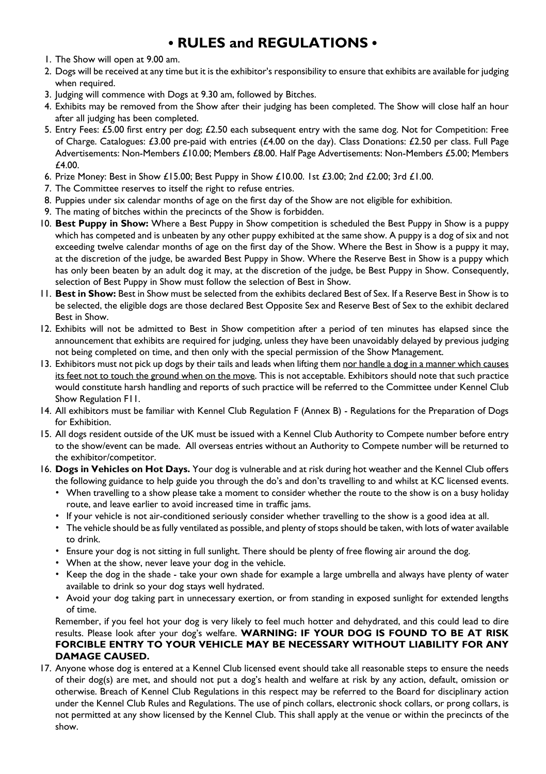## **• RULES and REGULATIONS •**

- 1. The Show will open at 9.00 am.
- 2. Dogs will be received at any time but it is the exhibitor's responsibility to ensure that exhibits are available for judging when required.
- 3. Judging will commence with Dogs at 9.30 am, followed by Bitches.
- 4. Exhibits may be removed from the Show after their judging has been completed. The Show will close half an hour after all judging has been completed.
- 5. Entry Fees: £5.00 first entry per dog; £2.50 each subsequent entry with the same dog. Not for Competition: Free of Charge. Catalogues: £3.00 pre-paid with entries (£4.00 on the day). Class Donations: £2.50 per class. Full Page Advertisements: Non-Members £10.00; Members £8.00. Half Page Advertisements: Non-Members £5.00; Members £4.00.
- 6. Prize Money: Best in Show £15.00; Best Puppy in Show £10.00. 1st £3.00; 2nd £2.00; 3rd £1.00.
- 7. The Committee reserves to itself the right to refuse entries.
- 8. Puppies under six calendar months of age on the first day of the Show are not eligible for exhibition.
- 9. The mating of bitches within the precincts of the Show is forbidden.
- 10. **Best Puppy in Show:** Where a Best Puppy in Show competition is scheduled the Best Puppy in Show is a puppy which has competed and is unbeaten by any other puppy exhibited at the same show. A puppy is a dog of six and not exceeding twelve calendar months of age on the first day of the Show. Where the Best in Show is a puppy it may, at the discretion of the judge, be awarded Best Puppy in Show. Where the Reserve Best in Show is a puppy which has only been beaten by an adult dog it may, at the discretion of the judge, be Best Puppy in Show. Consequently, selection of Best Puppy in Show must follow the selection of Best in Show.
- 11. **Best in Show:** Best in Show must be selected from the exhibits declared Best of Sex. If a Reserve Best in Show is to be selected, the eligible dogs are those declared Best Opposite Sex and Reserve Best of Sex to the exhibit declared Best in Show.
- 12. Exhibits will not be admitted to Best in Show competition after a period of ten minutes has elapsed since the announcement that exhibits are required for judging, unless they have been unavoidably delayed by previous judging not being completed on time, and then only with the special permission of the Show Management.
- 13. Exhibitors must not pick up dogs by their tails and leads when lifting them nor handle a dog in a manner which causes its feet not to touch the ground when on the move. This is not acceptable. Exhibitors should note that such practice would constitute harsh handling and reports of such practice will be referred to the Committee under Kennel Club Show Regulation F11.
- 14. All exhibitors must be familiar with Kennel Club Regulation F (Annex B) Regulations for the Preparation of Dogs for Exhibition.
- 15. All dogs resident outside of the UK must be issued with a Kennel Club Authority to Compete number before entry to the show/event can be made. All overseas entries without an Authority to Compete number will be returned to the exhibitor/competitor.
- 16. **Dogs in Vehicles on Hot Days.** Your dog is vulnerable and at risk during hot weather and the Kennel Club offers the following guidance to help guide you through the do's and don'ts travelling to and whilst at KC licensed events.
	- When travelling to a show please take a moment to consider whether the route to the show is on a busy holiday route, and leave earlier to avoid increased time in traffic jams.
	- If your vehicle is not air-conditioned seriously consider whether travelling to the show is a good idea at all.
	- The vehicle should be as fully ventilated as possible, and plenty of stops should be taken, with lots of water available to drink.
	- Ensure your dog is not sitting in full sunlight. There should be plenty of free flowing air around the dog.
	- When at the show, never leave your dog in the vehicle.
	- Keep the dog in the shade take your own shade for example a large umbrella and always have plenty of water available to drink so your dog stays well hydrated.
	- Avoid your dog taking part in unnecessary exertion, or from standing in exposed sunlight for extended lengths of time.

 Remember, if you feel hot your dog is very likely to feel much hotter and dehydrated, and this could lead to dire results. Please look after your dog's welfare. **WARNING: IF YOUR DOG IS FOUND TO BE AT RISK FORCIBLE ENTRY TO YOUR VEHICLE MAY BE NECESSARY WITHOUT LIABILITY FOR ANY DAMAGE CAUSED.** 

17. Anyone whose dog is entered at a Kennel Club licensed event should take all reasonable steps to ensure the needs of their dog(s) are met, and should not put a dog's health and welfare at risk by any action, default, omission or otherwise. Breach of Kennel Club Regulations in this respect may be referred to the Board for disciplinary action under the Kennel Club Rules and Regulations. The use of pinch collars, electronic shock collars, or prong collars, is not permitted at any show licensed by the Kennel Club. This shall apply at the venue or within the precincts of the show.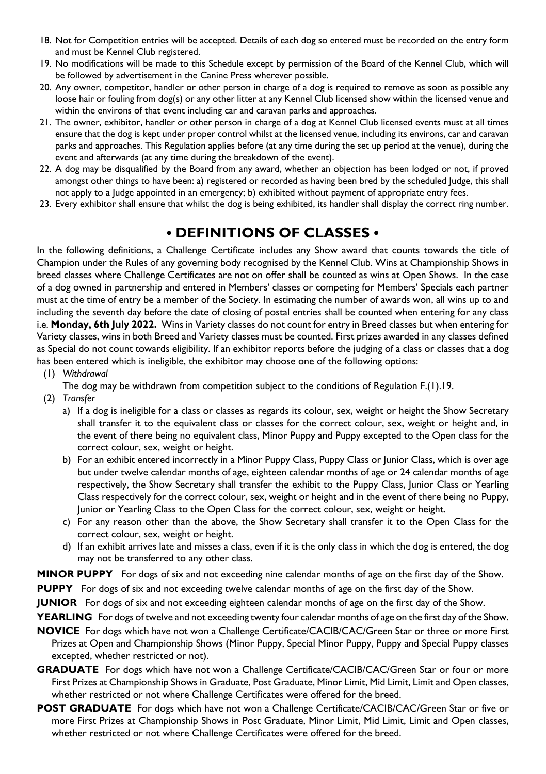- 18. Not for Competition entries will be accepted. Details of each dog so entered must be recorded on the entry form and must be Kennel Club registered.
- 19. No modifications will be made to this Schedule except by permission of the Board of the Kennel Club, which will be followed by advertisement in the Canine Press wherever possible.
- 20. Any owner, competitor, handler or other person in charge of a dog is required to remove as soon as possible any loose hair or fouling from dog(s) or any other litter at any Kennel Club licensed show within the licensed venue and within the environs of that event including car and caravan parks and approaches.
- 21. The owner, exhibitor, handler or other person in charge of a dog at Kennel Club licensed events must at all times ensure that the dog is kept under proper control whilst at the licensed venue, including its environs, car and caravan parks and approaches. This Regulation applies before (at any time during the set up period at the venue), during the event and afterwards (at any time during the breakdown of the event).
- 22. A dog may be disqualified by the Board from any award, whether an objection has been lodged or not, if proved amongst other things to have been: a) registered or recorded as having been bred by the scheduled Judge, this shall not apply to a Judge appointed in an emergency; b) exhibited without payment of appropriate entry fees.
- 23. Every exhibitor shall ensure that whilst the dog is being exhibited, its handler shall display the correct ring number.

## **• DEFINITIONS OF CLASSES •**

In the following definitions, a Challenge Certificate includes any Show award that counts towards the title of Champion under the Rules of any governing body recognised by the Kennel Club. Wins at Championship Shows in breed classes where Challenge Certificates are not on offer shall be counted as wins at Open Shows. In the case of a dog owned in partnership and entered in Members' classes or competing for Members' Specials each partner must at the time of entry be a member of the Society. In estimating the number of awards won, all wins up to and including the seventh day before the date of closing of postal entries shall be counted when entering for any class i.e. **Monday, 6th July 2022.** Wins in Variety classes do not count for entry in Breed classes but when entering for Variety classes, wins in both Breed and Variety classes must be counted. First prizes awarded in any classes defined as Special do not count towards eligibility. If an exhibitor reports before the judging of a class or classes that a dog has been entered which is ineligible, the exhibitor may choose one of the following options:

- (1) *Withdrawal*
- The dog may be withdrawn from competition subject to the conditions of Regulation F.(1).19.
- (2) *Transfer*
	- a) If a dog is ineligible for a class or classes as regards its colour, sex, weight or height the Show Secretary shall transfer it to the equivalent class or classes for the correct colour, sex, weight or height and, in the event of there being no equivalent class, Minor Puppy and Puppy excepted to the Open class for the correct colour, sex, weight or height.
	- b) For an exhibit entered incorrectly in a Minor Puppy Class, Puppy Class or Junior Class, which is over age but under twelve calendar months of age, eighteen calendar months of age or 24 calendar months of age respectively, the Show Secretary shall transfer the exhibit to the Puppy Class, Junior Class or Yearling Class respectively for the correct colour, sex, weight or height and in the event of there being no Puppy, Junior or Yearling Class to the Open Class for the correct colour, sex, weight or height.
	- c) For any reason other than the above, the Show Secretary shall transfer it to the Open Class for the correct colour, sex, weight or height.
	- d) If an exhibit arrives late and misses a class, even if it is the only class in which the dog is entered, the dog may not be transferred to any other class.

**MINOR PUPPY** For dogs of six and not exceeding nine calendar months of age on the first day of the Show.

**PUPPY** For dogs of six and not exceeding twelve calendar months of age on the first day of the Show.

**JUNIOR** For dogs of six and not exceeding eighteen calendar months of age on the first day of the Show.

**YEARLING** For dogs of twelve and not exceeding twenty four calendar months of age on the first day of the Show.

- **NOVICE** For dogs which have not won a Challenge Certificate/CACIB/CAC/Green Star or three or more First Prizes at Open and Championship Shows (Minor Puppy, Special Minor Puppy, Puppy and Special Puppy classes excepted, whether restricted or not).
- **GRADUATE** For dogs which have not won a Challenge Certificate/CACIB/CAC/Green Star or four or more First Prizes at Championship Shows in Graduate, Post Graduate, Minor Limit, Mid Limit, Limit and Open classes, whether restricted or not where Challenge Certificates were offered for the breed.
- **POST GRADUATE** For dogs which have not won a Challenge Certificate/CACIB/CAC/Green Star or five or more First Prizes at Championship Shows in Post Graduate, Minor Limit, Mid Limit, Limit and Open classes, whether restricted or not where Challenge Certificates were offered for the breed.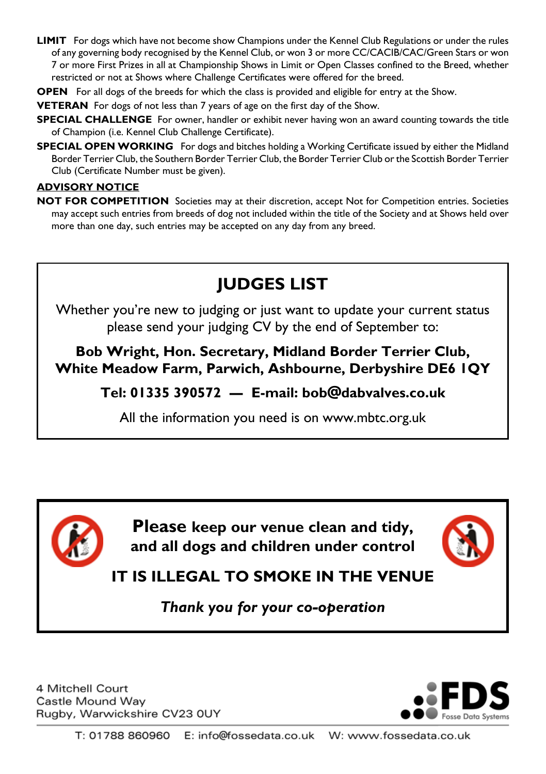- **LIMIT** For dogs which have not become show Champions under the Kennel Club Regulations or under the rules of any governing body recognised by the Kennel Club, or won 3 or more CC/CACIB/CAC/Green Stars or won 7 or more First Prizes in all at Championship Shows in Limit or Open Classes confined to the Breed, whether restricted or not at Shows where Challenge Certificates were offered for the breed.
- **OPEN** For all dogs of the breeds for which the class is provided and eligible for entry at the Show.

**VETERAN** For dogs of not less than 7 years of age on the first day of the Show.

- **SPECIAL CHALLENGE** For owner, handler or exhibit never having won an award counting towards the title of Champion (i.e. Kennel Club Challenge Certificate).
- **SPECIAL OPEN WORKING** For dogs and bitches holding a Working Certificate issued by either the Midland Border Terrier Club, the Southern Border Terrier Club, the Border Terrier Club or the Scottish Border Terrier Club (Certificate Number must be given).

### **ADVISORY NOTICE**

**NOT FOR COMPETITION** Societies may at their discretion, accept Not for Competition entries. Societies may accept such entries from breeds of dog not included within the title of the Society and at Shows held over more than one day, such entries may be accepted on any day from any breed.

# **JUDGES LIST**

Whether you're new to judging or just want to update your current status please send your judging CV by the end of September to:

**Bob Wright, Hon. Secretary, Midland Border Terrier Club, White Meadow Farm, Parwich, Ashbourne, Derbyshire DE6 1QY**

**Tel: 01335 390572 — E-mail: bob@dabvalves.co.uk**

All the information you need is on www.mbtc.org.uk



**Please keep our venue clean and tidy, and all dogs and children under control**



**IT IS ILLEGAL TO SMOKE IN THE VENUE**

*Thank you for your co-operation*

4 Mitchell Court Castle Mound Way Rugby, Warwickshire CV23 0UY